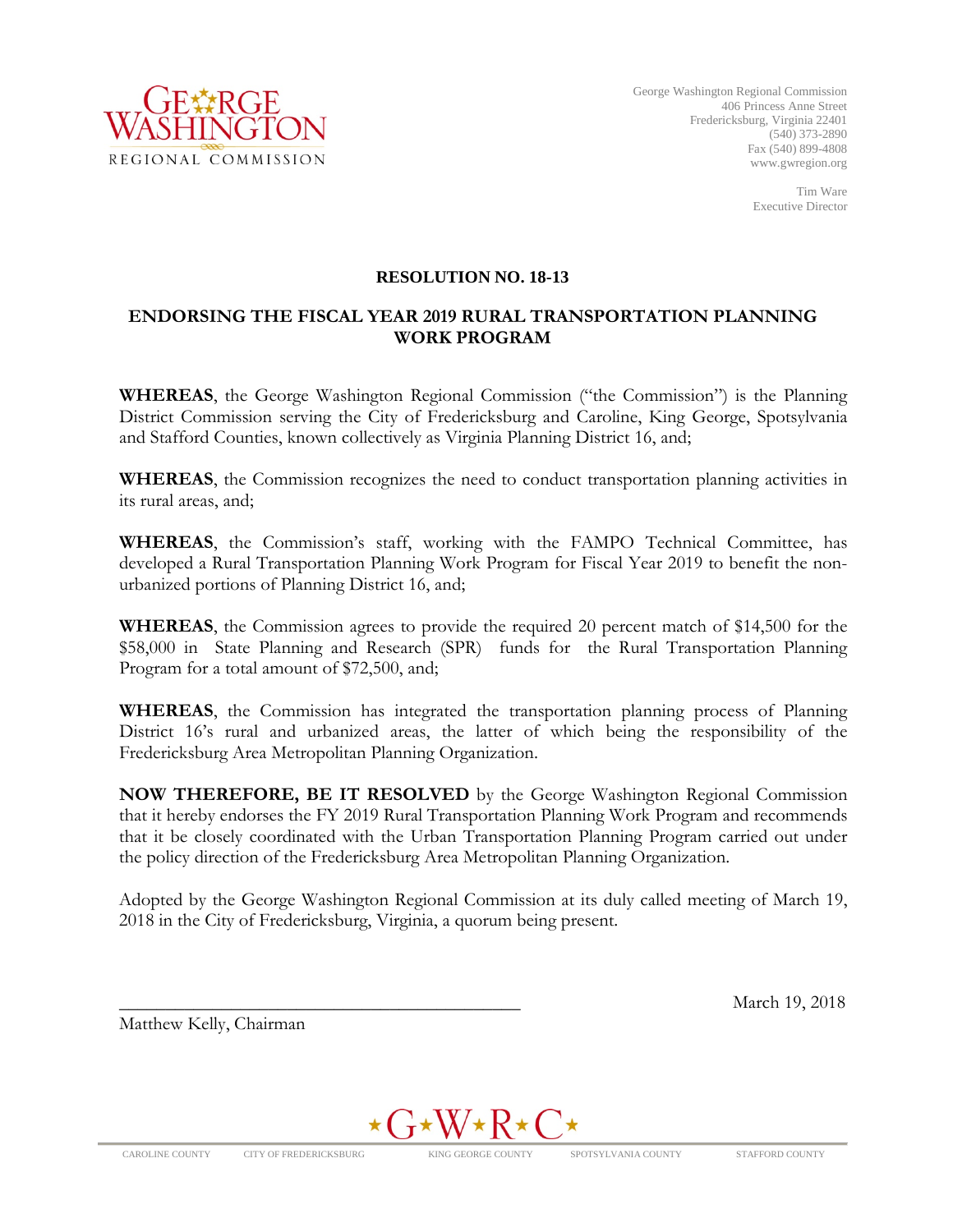

Tim Ware Executive Director

#### **RESOLUTION NO. 18-13**

#### **ENDORSING THE FISCAL YEAR 2019 RURAL TRANSPORTATION PLANNING WORK PROGRAM**

**WHEREAS**, the George Washington Regional Commission ("the Commission") is the Planning District Commission serving the City of Fredericksburg and Caroline, King George, Spotsylvania and Stafford Counties, known collectively as Virginia Planning District 16, and;

**WHEREAS**, the Commission recognizes the need to conduct transportation planning activities in its rural areas, and;

**WHEREAS**, the Commission's staff, working with the FAMPO Technical Committee, has developed a Rural Transportation Planning Work Program for Fiscal Year 2019 to benefit the nonurbanized portions of Planning District 16, and;

**WHEREAS**, the Commission agrees to provide the required 20 percent match of \$14,500 for the \$58,000 in State Planning and Research (SPR) funds for the Rural Transportation Planning Program for a total amount of \$72,500, and;

**WHEREAS**, the Commission has integrated the transportation planning process of Planning District 16's rural and urbanized areas, the latter of which being the responsibility of the Fredericksburg Area Metropolitan Planning Organization.

**NOW THEREFORE, BE IT RESOLVED** by the George Washington Regional Commission that it hereby endorses the FY 2019 Rural Transportation Planning Work Program and recommends that it be closely coordinated with the Urban Transportation Planning Program carried out under the policy direction of the Fredericksburg Area Metropolitan Planning Organization.

Adopted by the George Washington Regional Commission at its duly called meeting of March 19, 2018 in the City of Fredericksburg, Virginia, a quorum being present.

Matthew Kelly, Chairman



\_\_\_\_\_\_\_\_\_\_\_\_\_\_\_\_\_\_\_\_\_\_\_\_\_\_\_\_\_\_\_\_\_\_\_\_\_\_\_\_\_\_\_ March 19, 2018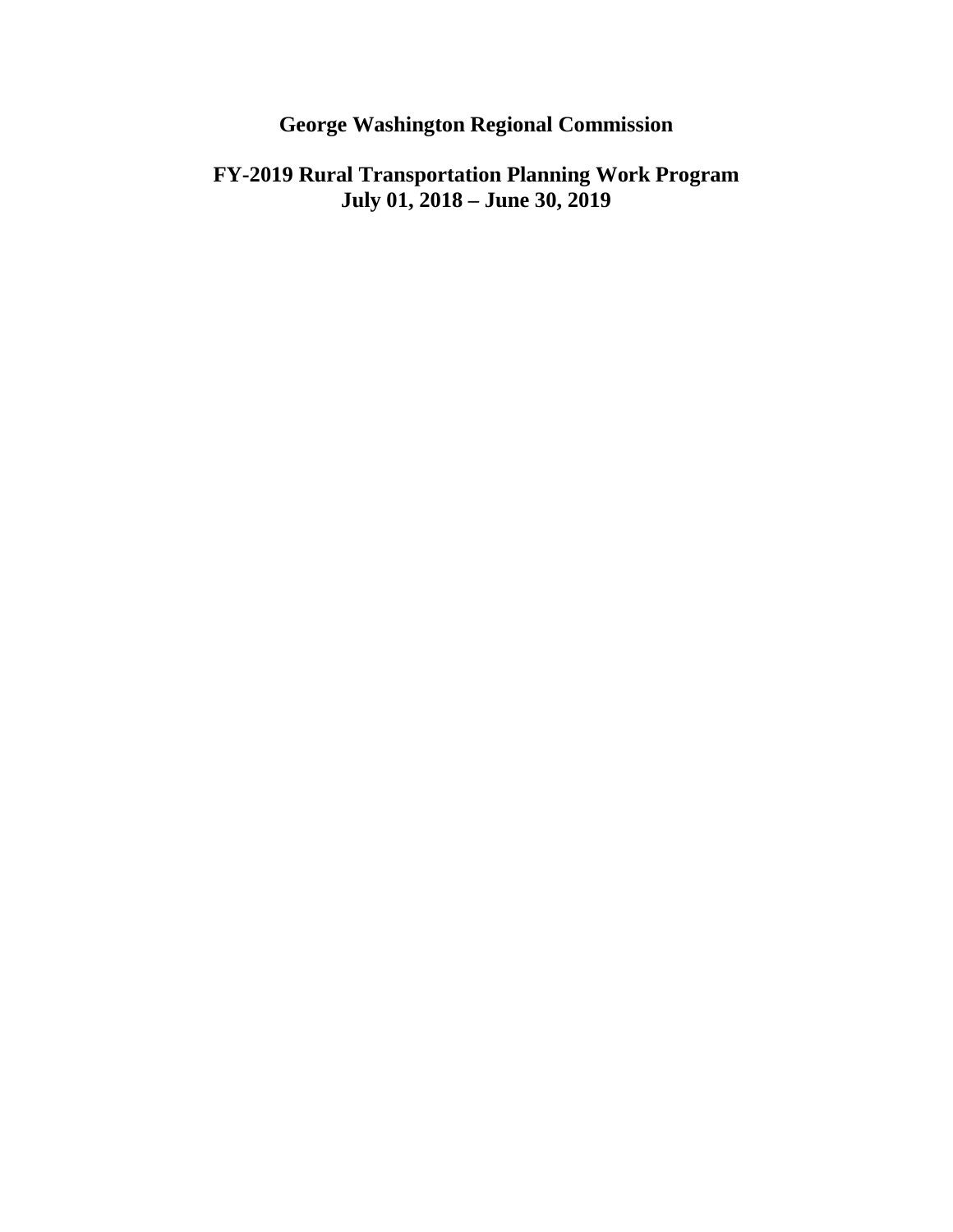# **George Washington Regional Commission**

## **FY-2019 Rural Transportation Planning Work Program July 01, 2018 – June 30, 2019**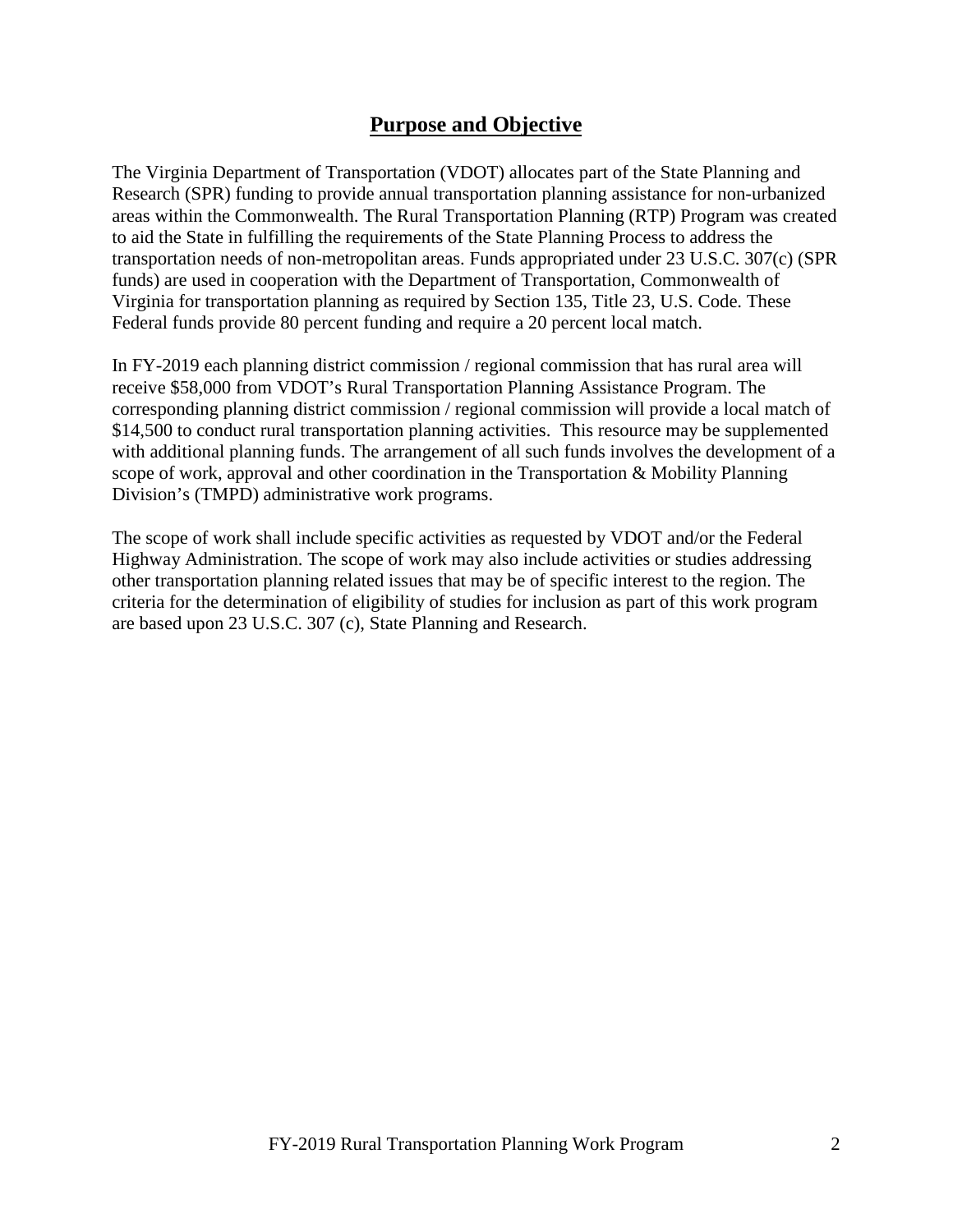### **Purpose and Objective**

The Virginia Department of Transportation (VDOT) allocates part of the State Planning and Research (SPR) funding to provide annual transportation planning assistance for non-urbanized areas within the Commonwealth. The Rural Transportation Planning (RTP) Program was created to aid the State in fulfilling the requirements of the State Planning Process to address the transportation needs of non-metropolitan areas. Funds appropriated under 23 U.S.C. 307(c) (SPR funds) are used in cooperation with the Department of Transportation, Commonwealth of Virginia for transportation planning as required by Section 135, Title 23, U.S. Code. These Federal funds provide 80 percent funding and require a 20 percent local match.

In FY-2019 each planning district commission / regional commission that has rural area will receive \$58,000 from VDOT's Rural Transportation Planning Assistance Program. The corresponding planning district commission / regional commission will provide a local match of \$14,500 to conduct rural transportation planning activities. This resource may be supplemented with additional planning funds. The arrangement of all such funds involves the development of a scope of work, approval and other coordination in the Transportation & Mobility Planning Division's (TMPD) administrative work programs.

The scope of work shall include specific activities as requested by VDOT and/or the Federal Highway Administration. The scope of work may also include activities or studies addressing other transportation planning related issues that may be of specific interest to the region. The criteria for the determination of eligibility of studies for inclusion as part of this work program are based upon 23 U.S.C. 307 (c), State Planning and Research.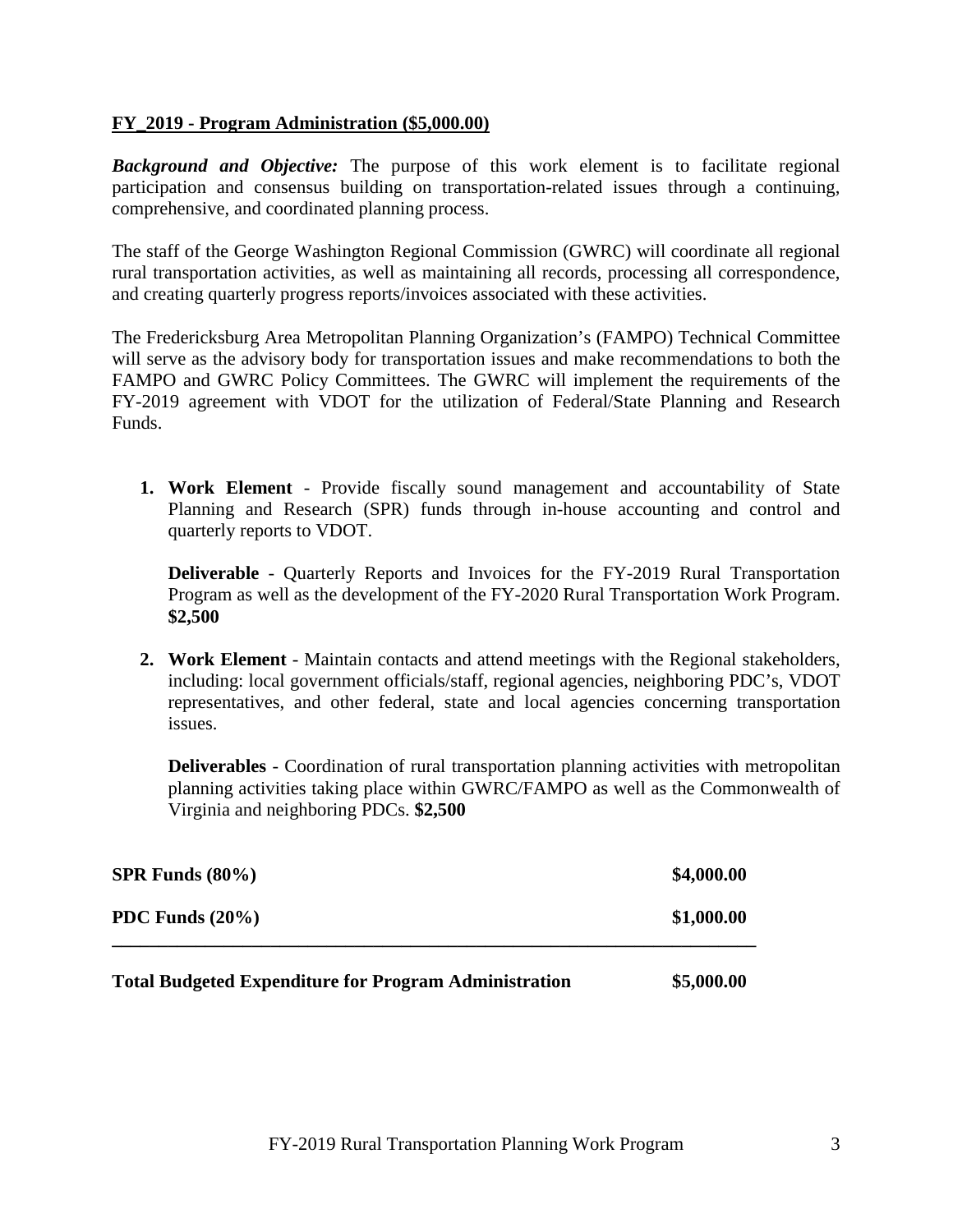#### **FY\_2019 - Program Administration (\$5,000.00)**

*Background and Objective:* The purpose of this work element is to facilitate regional participation and consensus building on transportation-related issues through a continuing, comprehensive, and coordinated planning process.

The staff of the George Washington Regional Commission (GWRC) will coordinate all regional rural transportation activities, as well as maintaining all records, processing all correspondence, and creating quarterly progress reports/invoices associated with these activities.

The Fredericksburg Area Metropolitan Planning Organization's (FAMPO) Technical Committee will serve as the advisory body for transportation issues and make recommendations to both the FAMPO and GWRC Policy Committees. The GWRC will implement the requirements of the FY-2019 agreement with VDOT for the utilization of Federal/State Planning and Research Funds.

**1. Work Element** - Provide fiscally sound management and accountability of State Planning and Research (SPR) funds through in-house accounting and control and quarterly reports to VDOT.

**Deliverable** - Quarterly Reports and Invoices for the FY-2019 Rural Transportation Program as well as the development of the FY-2020 Rural Transportation Work Program. **\$2,500**

**2. Work Element** - Maintain contacts and attend meetings with the Regional stakeholders, including: local government officials/staff, regional agencies, neighboring PDC's, VDOT representatives, and other federal, state and local agencies concerning transportation issues.

**Deliverables** - Coordination of rural transportation planning activities with metropolitan planning activities taking place within GWRC/FAMPO as well as the Commonwealth of Virginia and neighboring PDCs. **\$2,500**

| <b>SPR Funds</b> $(80\%)$ | \$4,000.00 |
|---------------------------|------------|
| PDC Funds $(20\%)$        | \$1,000.00 |
|                           |            |

**Total Budgeted Expenditure for Program Administration \$5,000.00**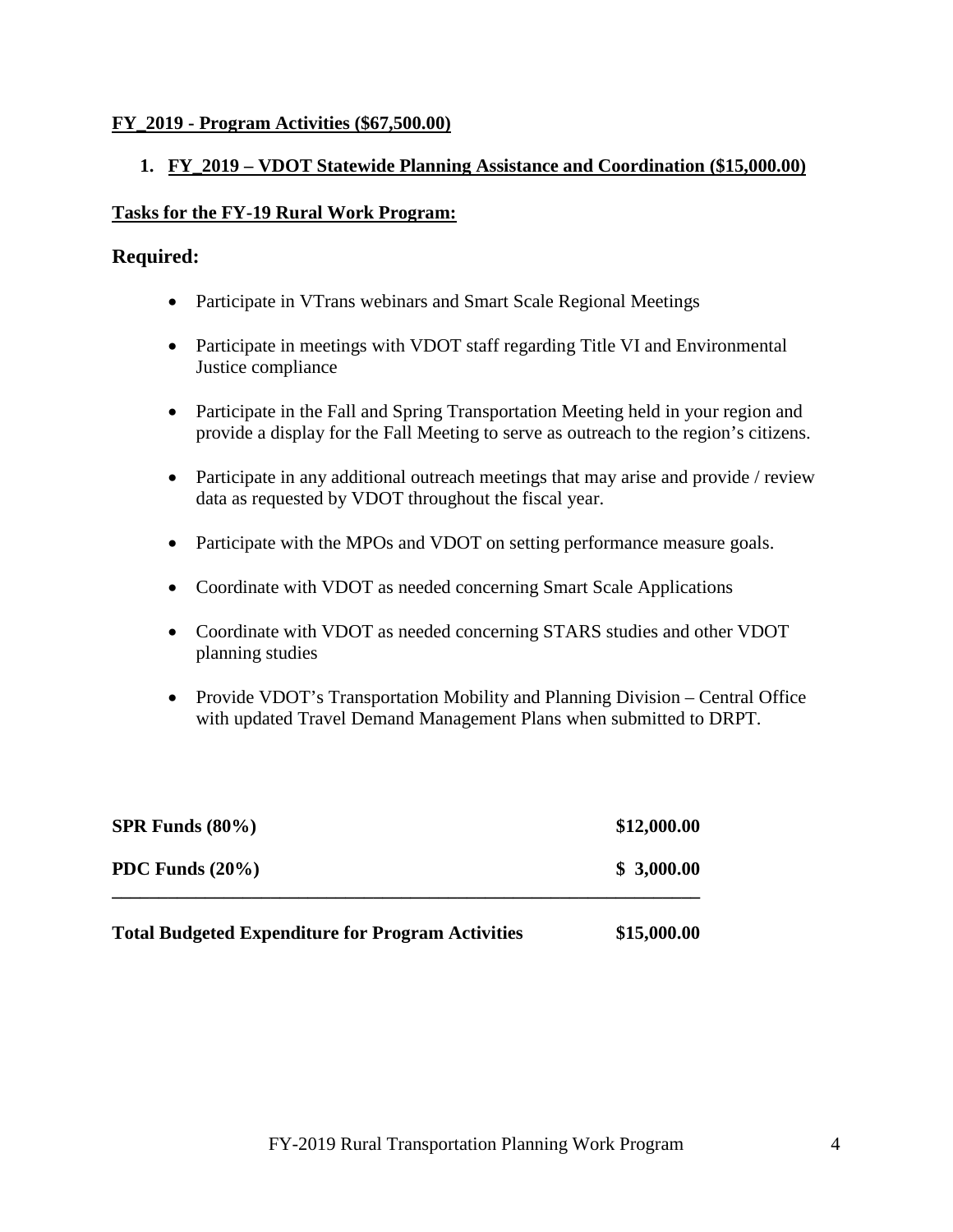#### **FY\_2019 - Program Activities (\$67,500.00)**

#### **1. FY\_2019 – VDOT Statewide Planning Assistance and Coordination (\$15,000.00)**

#### **Tasks for the FY-19 Rural Work Program:**

#### **Required:**

- Participate in VTrans webinars and Smart Scale Regional Meetings
- Participate in meetings with VDOT staff regarding Title VI and Environmental Justice compliance
- Participate in the Fall and Spring Transportation Meeting held in your region and provide a display for the Fall Meeting to serve as outreach to the region's citizens.
- Participate in any additional outreach meetings that may arise and provide / review data as requested by VDOT throughout the fiscal year.
- Participate with the MPOs and VDOT on setting performance measure goals.
- Coordinate with VDOT as needed concerning Smart Scale Applications
- Coordinate with VDOT as needed concerning STARS studies and other VDOT planning studies
- Provide VDOT's Transportation Mobility and Planning Division Central Office with updated Travel Demand Management Plans when submitted to DRPT.

| <b>Total Budgeted Expenditure for Program Activities</b> | \$15,000.00 |
|----------------------------------------------------------|-------------|
| PDC Funds $(20\%)$                                       | \$3,000.00  |
| $SPR$ Funds $(80\%)$                                     | \$12,000.00 |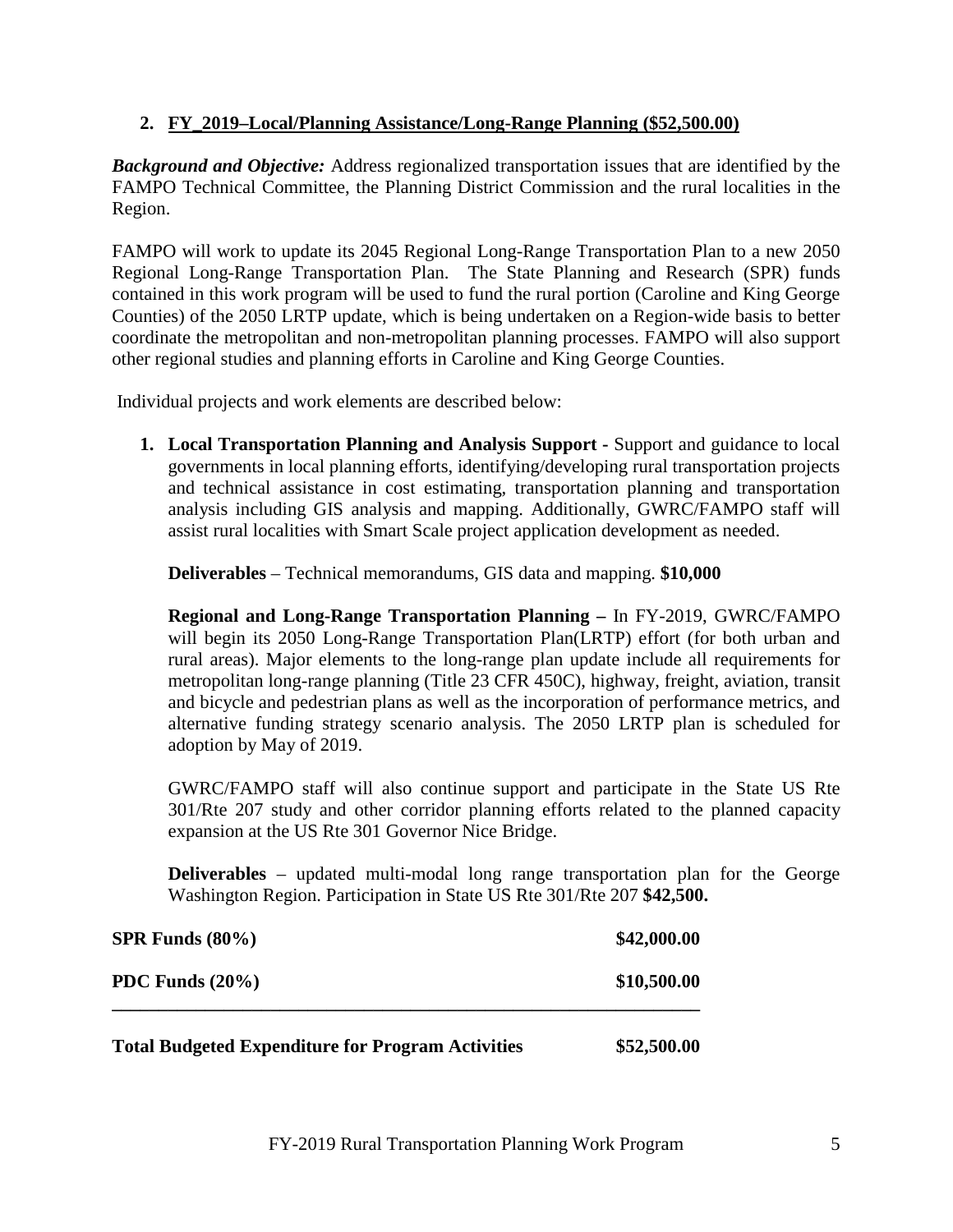#### **2. FY\_2019–Local/Planning Assistance/Long-Range Planning (\$52,500.00)**

*Background and Objective:* Address regionalized transportation issues that are identified by the FAMPO Technical Committee, the Planning District Commission and the rural localities in the Region.

FAMPO will work to update its 2045 Regional Long-Range Transportation Plan to a new 2050 Regional Long-Range Transportation Plan. The State Planning and Research (SPR) funds contained in this work program will be used to fund the rural portion (Caroline and King George Counties) of the 2050 LRTP update, which is being undertaken on a Region-wide basis to better coordinate the metropolitan and non-metropolitan planning processes. FAMPO will also support other regional studies and planning efforts in Caroline and King George Counties.

Individual projects and work elements are described below:

**1. Local Transportation Planning and Analysis Support -** Support and guidance to local governments in local planning efforts, identifying/developing rural transportation projects and technical assistance in cost estimating, transportation planning and transportation analysis including GIS analysis and mapping. Additionally, GWRC/FAMPO staff will assist rural localities with Smart Scale project application development as needed.

**Deliverables** – Technical memorandums, GIS data and mapping. **\$10,000**

**Regional and Long-Range Transportation Planning –** In FY-2019, GWRC/FAMPO will begin its 2050 Long-Range Transportation Plan(LRTP) effort (for both urban and rural areas). Major elements to the long-range plan update include all requirements for metropolitan long-range planning (Title 23 CFR 450C), highway, freight, aviation, transit and bicycle and pedestrian plans as well as the incorporation of performance metrics, and alternative funding strategy scenario analysis. The 2050 LRTP plan is scheduled for adoption by May of 2019.

GWRC/FAMPO staff will also continue support and participate in the State US Rte 301/Rte 207 study and other corridor planning efforts related to the planned capacity expansion at the US Rte 301 Governor Nice Bridge.

**Deliverables** – updated multi-modal long range transportation plan for the George Washington Region. Participation in State US Rte 301/Rte 207 **\$42,500.**

| $SPR$ Funds $(80\%)$                                     | \$42,000.00 |
|----------------------------------------------------------|-------------|
| PDC Funds $(20\%)$                                       | \$10,500.00 |
| <b>Total Budgeted Expenditure for Program Activities</b> | \$52,500.00 |